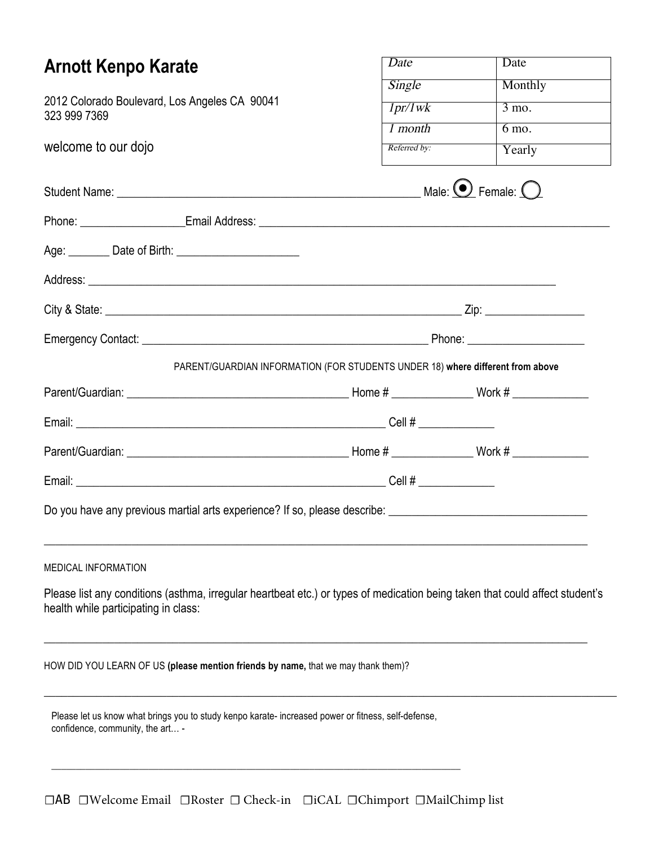| <b>Arnott Kenpo Karate</b>                                                                                                                                           | Date         | Date                                |  |  |
|----------------------------------------------------------------------------------------------------------------------------------------------------------------------|--------------|-------------------------------------|--|--|
|                                                                                                                                                                      | Single       | Monthly                             |  |  |
| 2012 Colorado Boulevard, Los Angeles CA 90041<br>323 999 7369                                                                                                        | 1pr/1wk      | $3 \text{ mo}$ .                    |  |  |
|                                                                                                                                                                      | 1 month      | $6 \text{ mo.}$                     |  |  |
| welcome to our dojo                                                                                                                                                  | Referred by: | Yearly                              |  |  |
|                                                                                                                                                                      |              | Male: $\bigodot$ Female: $\bigodot$ |  |  |
|                                                                                                                                                                      |              |                                     |  |  |
|                                                                                                                                                                      |              |                                     |  |  |
|                                                                                                                                                                      |              |                                     |  |  |
|                                                                                                                                                                      |              |                                     |  |  |
|                                                                                                                                                                      |              |                                     |  |  |
| PARENT/GUARDIAN INFORMATION (FOR STUDENTS UNDER 18) where different from above                                                                                       |              |                                     |  |  |
|                                                                                                                                                                      |              |                                     |  |  |
|                                                                                                                                                                      |              |                                     |  |  |
|                                                                                                                                                                      |              |                                     |  |  |
|                                                                                                                                                                      |              |                                     |  |  |
|                                                                                                                                                                      |              |                                     |  |  |
| MEDICAL INFORMATION                                                                                                                                                  |              |                                     |  |  |
| Please list any conditions (asthma, irregular heartbeat etc.) or types of medication being taken that could affect student's<br>health while participating in class: |              |                                     |  |  |
| HOW DID YOU LEARN OF US (please mention friends by name, that we may thank them)?                                                                                    |              |                                     |  |  |
| Please let us know what brings you to study kenpo karate- increased power or fitness, self-defense,<br>confidence, community, the art -                              |              |                                     |  |  |
|                                                                                                                                                                      |              |                                     |  |  |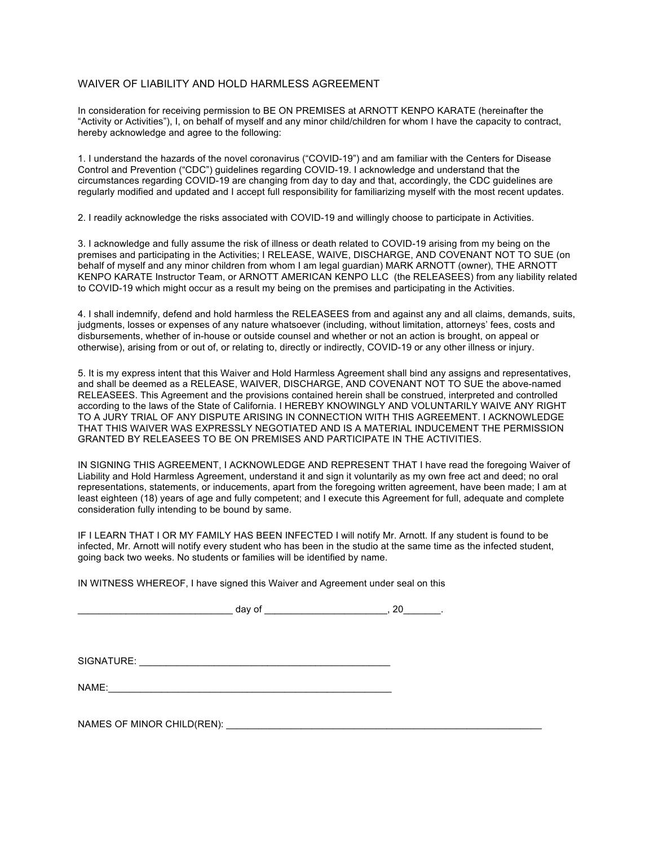## WAIVER OF LIABILITY AND HOLD HARMLESS AGREEMENT

In consideration for receiving permission to BE ON PREMISES at ARNOTT KENPO KARATE (hereinafter the "Activity or Activities"), I, on behalf of myself and any minor child/children for whom I have the capacity to contract, hereby acknowledge and agree to the following:

1. I understand the hazards of the novel coronavirus ("COVID-19") and am familiar with the Centers for Disease Control and Prevention ("CDC") guidelines regarding COVID-19. I acknowledge and understand that the circumstances regarding COVID-19 are changing from day to day and that, accordingly, the CDC guidelines are regularly modified and updated and I accept full responsibility for familiarizing myself with the most recent updates.

2. I readily acknowledge the risks associated with COVID-19 and willingly choose to participate in Activities.

3. I acknowledge and fully assume the risk of illness or death related to COVID-19 arising from my being on the premises and participating in the Activities; I RELEASE, WAIVE, DISCHARGE, AND COVENANT NOT TO SUE (on behalf of myself and any minor children from whom I am legal guardian) MARK ARNOTT (owner), THE ARNOTT KENPO KARATE Instructor Team, or ARNOTT AMERICAN KENPO LLC (the RELEASEES) from any liability related to COVID-19 which might occur as a result my being on the premises and participating in the Activities.

4. I shall indemnify, defend and hold harmless the RELEASEES from and against any and all claims, demands, suits, judgments, losses or expenses of any nature whatsoever (including, without limitation, attorneys' fees, costs and disbursements, whether of in-house or outside counsel and whether or not an action is brought, on appeal or otherwise), arising from or out of, or relating to, directly or indirectly, COVID-19 or any other illness or injury.

5. It is my express intent that this Waiver and Hold Harmless Agreement shall bind any assigns and representatives, and shall be deemed as a RELEASE, WAIVER, DISCHARGE, AND COVENANT NOT TO SUE the above-named RELEASEES. This Agreement and the provisions contained herein shall be construed, interpreted and controlled according to the laws of the State of California. I HEREBY KNOWINGLY AND VOLUNTARILY WAIVE ANY RIGHT TO A JURY TRIAL OF ANY DISPUTE ARISING IN CONNECTION WITH THIS AGREEMENT. I ACKNOWLEDGE THAT THIS WAIVER WAS EXPRESSLY NEGOTIATED AND IS A MATERIAL INDUCEMENT THE PERMISSION GRANTED BY RELEASEES TO BE ON PREMISES AND PARTICIPATE IN THE ACTIVITIES.

IN SIGNING THIS AGREEMENT, I ACKNOWLEDGE AND REPRESENT THAT I have read the foregoing Waiver of Liability and Hold Harmless Agreement, understand it and sign it voluntarily as my own free act and deed; no oral representations, statements, or inducements, apart from the foregoing written agreement, have been made; I am at least eighteen (18) years of age and fully competent; and I execute this Agreement for full, adequate and complete consideration fully intending to be bound by same.

IF I LEARN THAT I OR MY FAMILY HAS BEEN INFECTED I will notify Mr. Arnott. If any student is found to be infected, Mr. Arnott will notify every student who has been in the studio at the same time as the infected student, going back two weeks. No students or families will be identified by name.

IN WITNESS WHEREOF, I have signed this Waiver and Agreement under seal on this

SIGNATURE: \_\_\_\_\_\_\_\_\_\_\_\_\_\_\_\_\_\_\_\_\_\_\_\_\_\_\_\_\_\_\_\_\_\_\_\_\_\_\_\_\_\_\_\_\_\_\_

NAME:\_\_\_\_\_\_\_\_\_\_\_\_\_\_\_\_\_\_\_\_\_\_\_\_\_\_\_\_\_\_\_\_\_\_\_\_\_\_\_\_\_\_\_\_\_\_\_\_\_\_\_\_\_

NAMES OF MINOR CHILD(REN): \_\_\_\_\_\_\_\_\_\_\_\_\_\_\_\_\_\_\_\_\_\_\_\_\_\_\_\_\_\_\_\_\_\_\_\_\_\_\_\_\_\_\_\_\_\_\_\_\_\_\_\_\_\_\_\_\_\_\_